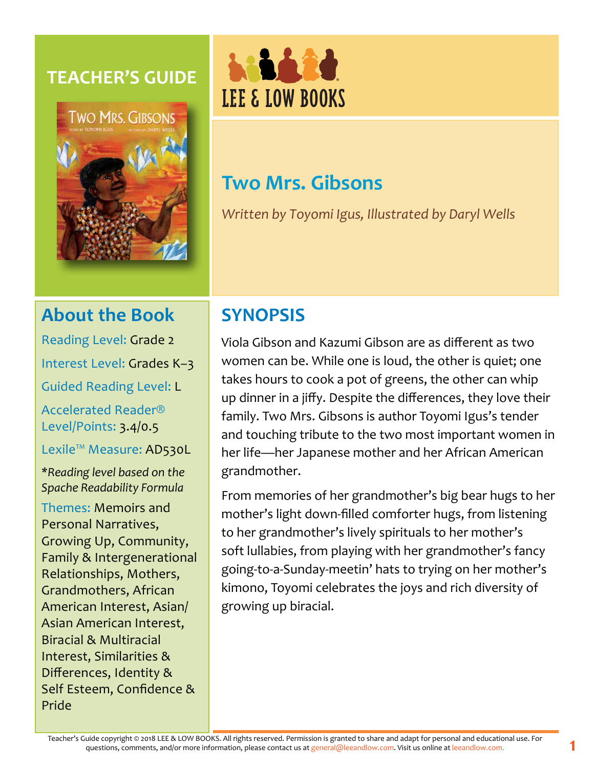## **TEACHER'S GUIDE**





## **Two Mrs. Gibsons**

*Written by Toyomi Igus, Illustrated by Daryl Wells*

## **About the Book**

Reading Level: Grade 2

Interest Level: Grades K–3

Guided Reading Level: L

Accelerated Reader® Level/Points: 3.4/0.5

Lexile™ Measure: AD530L

*\*Reading level based on the Spache Readability Formula*

Themes: Memoirs and Personal Narratives, Growing Up, Community, Family & Intergenerational Relationships, Mothers, Grandmothers, African American Interest, Asian/ Asian American Interest, Biracial & Multiracial Interest, Similarities & Differences, Identity & Self Esteem, Confidence & Pride

## **SYNOPSIS**

Viola Gibson and Kazumi Gibson are as different as two women can be. While one is loud, the other is quiet; one takes hours to cook a pot of greens, the other can whip up dinner in a jiffy. Despite the differences, they love their family. Two Mrs. Gibsons is author Toyomi Igus's tender and touching tribute to the two most important women in her life—her Japanese mother and her African American grandmother.

From memories of her grandmother's big bear hugs to her mother's light down-filled comforter hugs, from listening to her grandmother's lively spirituals to her mother's soft lullabies, from playing with her grandmother's fancy going-to-a-Sunday-meetin' hats to trying on her mother's kimono, Toyomi celebrates the joys and rich diversity of growing up biracial.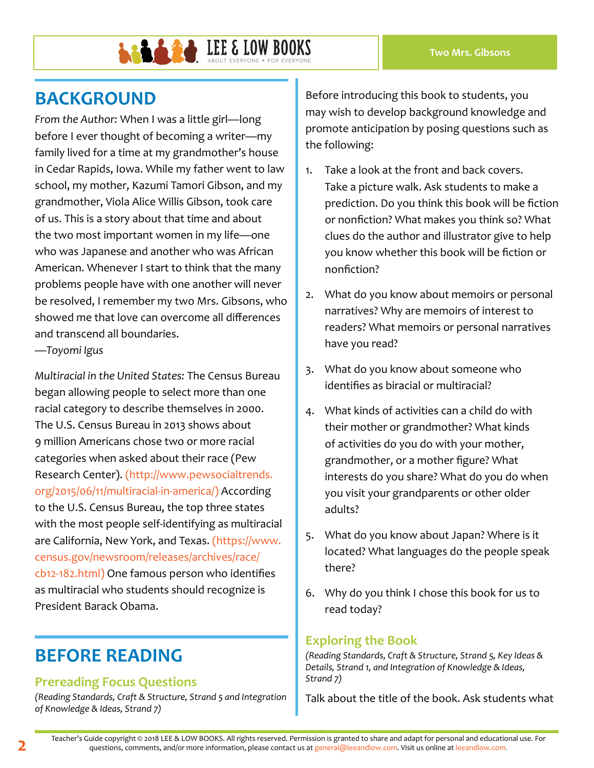## **BACKGROUND**

*From the Author:* When I was a little girl—long before I ever thought of becoming a writer—my family lived for a time at my grandmother's house in Cedar Rapids, Iowa. While my father went to law school, my mother, Kazumi Tamori Gibson, and my grandmother, Viola Alice Willis Gibson, took care of us. This is a story about that time and about the two most important women in my life—one who was Japanese and another who was African American. Whenever I start to think that the many problems people have with one another will never be resolved, I remember my two Mrs. Gibsons, who showed me that love can overcome all differences and transcend all boundaries.

*—Toyomi Igus*

*Multiracial in the United States:* The Census Bureau began allowing people to select more than one racial category to describe themselves in 2000. The U.S. Census Bureau in 2013 shows about 9 million Americans chose two or more racial categories when asked about their race (Pew Research Center). [\(http://www.pewsocialtrends.](http://www.pewsocialtrends.org/2015/06/11/multiracial-in-america/) [org/2015/06/11/multiracial-in-america/](http://www.pewsocialtrends.org/2015/06/11/multiracial-in-america/)) According to the U.S. Census Bureau, the top three states with the most people self-identifying as multiracial are California, New York, and Texas. [\(https://www.](https://www.census.gov/newsroom/releases/archives/race/cb12-182.html) [census.gov/newsroom/releases/archives/race/](https://www.census.gov/newsroom/releases/archives/race/cb12-182.html) [cb12-182.html\)](https://www.census.gov/newsroom/releases/archives/race/cb12-182.html) One famous person who identifies as multiracial who students should recognize is President Barack Obama.

## **BEFORE READING**

#### **Prereading Focus Questions**

*(Reading Standards, Craft & Structure, Strand 5 and Integration of Knowledge & Ideas, Strand 7)*

Before introducing this book to students, you may wish to develop background knowledge and promote anticipation by posing questions such as the following:

- 1. Take a look at the front and back covers. Take a picture walk. Ask students to make a prediction. Do you think this book will be fiction or nonfiction? What makes you think so? What clues do the author and illustrator give to help you know whether this book will be fiction or nonfiction?
- 2. What do you know about memoirs or personal narratives? Why are memoirs of interest to readers? What memoirs or personal narratives have you read?
- 3. What do you know about someone who identifies as biracial or multiracial?
- 4. What kinds of activities can a child do with their mother or grandmother? What kinds of activities do you do with your mother, grandmother, or a mother figure? What interests do you share? What do you do when you visit your grandparents or other older adults?
- 5. What do you know about Japan? Where is it located? What languages do the people speak there?
- 6. Why do you think I chose this book for us to read today?

#### **Exploring the Book**

*(Reading Standards, Craft & Structure, Strand 5, Key Ideas & Details, Strand 1, and Integration of Knowledge & Ideas, Strand 7)*

Talk about the title of the book. Ask students what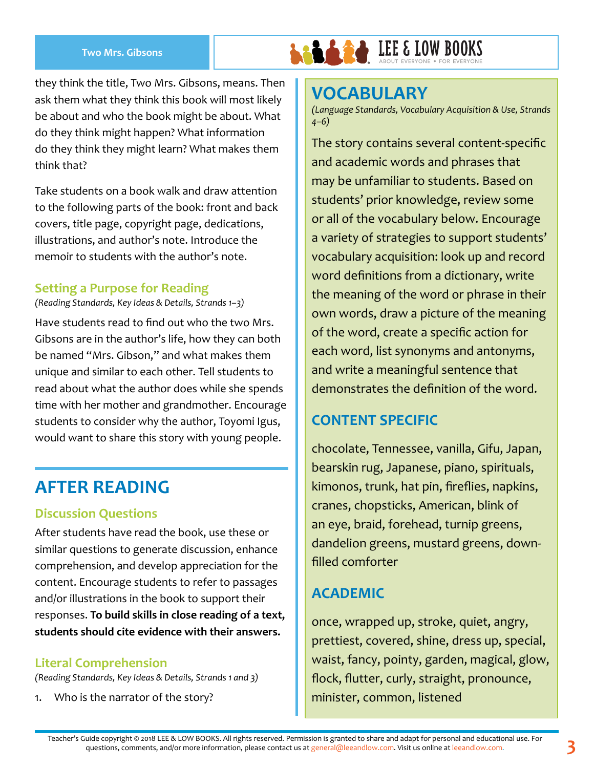#### **Two Mrs. Gibsons**

**LEE & LOW BOOKS** they think the title, Two Mrs. Gibsons, means. Then

ask them what they think this book will most likely be about and who the book might be about. What do they think might happen? What information do they think they might learn? What makes them think that?

Take students on a book walk and draw attention to the following parts of the book: front and back covers, title page, copyright page, dedications, illustrations, and author's note. Introduce the memoir to students with the author's note.

#### **Setting a Purpose for Reading**

*(Reading Standards, Key Ideas & Details, Strands 1–3)*

Have students read to find out who the two Mrs. Gibsons are in the author's life, how they can both be named "Mrs. Gibson," and what makes them unique and similar to each other. Tell students to read about what the author does while she spends time with her mother and grandmother. Encourage students to consider why the author, Toyomi Igus, would want to share this story with young people.

## **AFTER READING**

#### **Discussion Questions**

After students have read the book, use these or similar questions to generate discussion, enhance comprehension, and develop appreciation for the content. Encourage students to refer to passages and/or illustrations in the book to support their responses. **To build skills in close reading of a text, students should cite evidence with their answers.**

#### **Literal Comprehension**

*(Reading Standards, Key Ideas & Details, Strands 1 and 3)*

1. Who is the narrator of the story?

## **VOCABULARY**

*(Language Standards, Vocabulary Acquisition & Use, Strands 4–6)*

The story contains several content-specific and academic words and phrases that may be unfamiliar to students. Based on students' prior knowledge, review some or all of the vocabulary below. Encourage a variety of strategies to support students' vocabulary acquisition: look up and record word definitions from a dictionary, write the meaning of the word or phrase in their own words, draw a picture of the meaning of the word, create a specific action for each word, list synonyms and antonyms, and write a meaningful sentence that demonstrates the definition of the word.

### **CONTENT SPECIFIC**

chocolate, Tennessee, vanilla, Gifu, Japan, bearskin rug, Japanese, piano, spirituals, kimonos, trunk, hat pin, fireflies, napkins, cranes, chopsticks, American, blink of an eye, braid, forehead, turnip greens, dandelion greens, mustard greens, downfilled comforter

#### **ACADEMIC**

once, wrapped up, stroke, quiet, angry, prettiest, covered, shine, dress up, special, waist, fancy, pointy, garden, magical, glow, flock, flutter, curly, straight, pronounce, minister, common, listened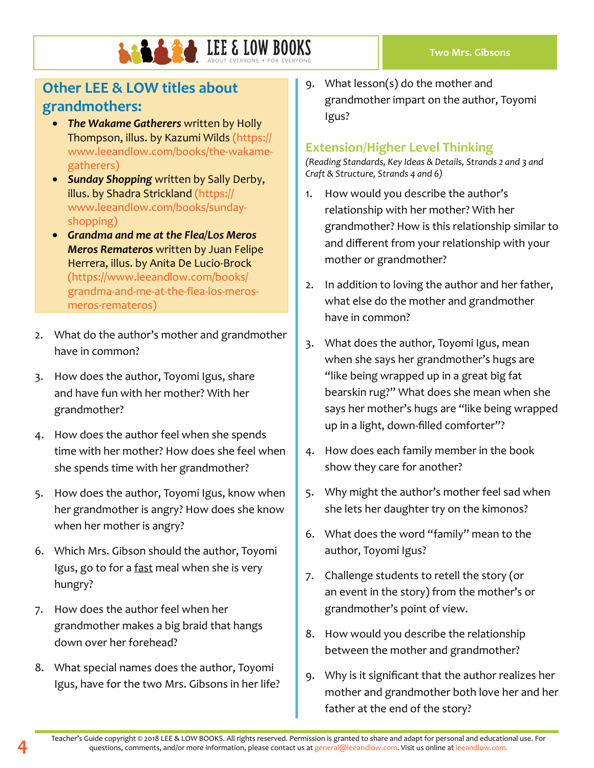# **LEE & LOW BOOKS**

### **Other LEE & LOW titles about grandmothers:**

- *The Wakame Gatherers* written by Holly Thompson, illus. by Kazumi Wilds (https:// www.leeandlow.com/books/the-wakamegatherers)
- *Sunday Shopping* written by Sally Derby, illus. by Shadra Strickland (https:// www.leeandlow.com/books/sundayshopping)
- *Grandma and me at the Flea/Los Meros Meros Remateros* written by Juan Felipe Herrera, illus. by Anita De Lucio-Brock (https://www.leeandlow.com/books/ grandma-and-me-at-the-flea-los-merosmeros-remateros)
- 2. What do the author's mother and grandmother have in common?
- 3. How does the author, Toyomi Igus, share and have fun with her mother? With her grandmother?
- 4. How does the author feel when she spends time with her mother? How does she feel when she spends time with her grandmother?
- 5. How does the author, Toyomi Igus, know when her grandmother is angry? How does she know when her mother is angry?
- 6. Which Mrs. Gibson should the author, Toyomi Igus, go to for a fast meal when she is very hungry?
- 7. How does the author feel when her grandmother makes a big braid that hangs down over her forehead?
- 8. What special names does the author, Toyomi Igus, have for the two Mrs. Gibsons in her life?

9. What lesson(s) do the mother and grandmother impart on the author, Toyomi Igus?

#### **Extension/Higher Level Thinking**

*(Reading Standards, Key Ideas & Details, Strands 2 and 3 and Craft & Structure, Strands 4 and 6)*

- 1. How would you describe the author's relationship with her mother? With her grandmother? How is this relationship similar to and different from your relationship with your mother or grandmother?
- 2. In addition to loving the author and her father, what else do the mother and grandmother have in common?
- 3. What does the author, Toyomi Igus, mean when she says her grandmother's hugs are "like being wrapped up in a great big fat bearskin rug?" What does she mean when she says her mother's hugs are "like being wrapped up in a light, down-filled comforter"?
- 4. How does each family member in the book show they care for another?
- 5. Why might the author's mother feel sad when she lets her daughter try on the kimonos?
- 6. What does the word "family" mean to the author, Toyomi Igus?
- 7. Challenge students to retell the story (or an event in the story) from the mother's or grandmother's point of view.
- 8. How would you describe the relationship between the mother and grandmother?
- 9. Why is it significant that the author realizes her mother and grandmother both love her and her father at the end of the story?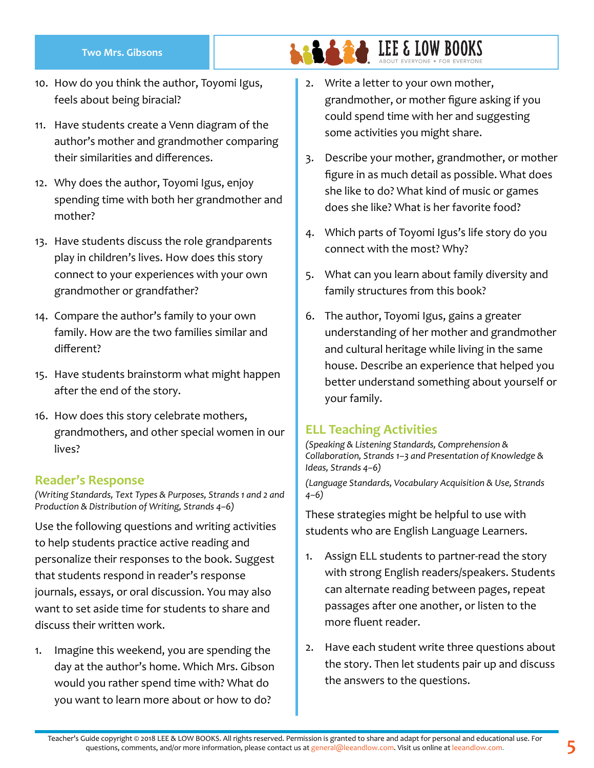#### **Two Mrs. Gibsons**

- 10. How do you think the author, Toyomi Igus, feels about being biracial?
- 11. Have students create a Venn diagram of the author's mother and grandmother comparing their similarities and differences.
- 12. Why does the author, Toyomi Igus, enjoy spending time with both her grandmother and mother?
- 13. Have students discuss the role grandparents play in children's lives. How does this story connect to your experiences with your own grandmother or grandfather?
- 14. Compare the author's family to your own family. How are the two families similar and different?
- 15. Have students brainstorm what might happen after the end of the story.
- 16. How does this story celebrate mothers, grandmothers, and other special women in our lives?

#### **Reader's Response**

*(Writing Standards, Text Types & Purposes, Strands 1 and 2 and Production & Distribution of Writing, Strands 4–6)*

Use the following questions and writing activities to help students practice active reading and personalize their responses to the book. Suggest that students respond in reader's response journals, essays, or oral discussion. You may also want to set aside time for students to share and discuss their written work.

1. Imagine this weekend, you are spending the day at the author's home. Which Mrs. Gibson would you rather spend time with? What do you want to learn more about or how to do?

2. Write a letter to your own mother, grandmother, or mother figure asking if you could spend time with her and suggesting some activities you might share.

**ARRIVE & LOW BOOKS** 

- 3. Describe your mother, grandmother, or mother figure in as much detail as possible. What does she like to do? What kind of music or games does she like? What is her favorite food?
- 4. Which parts of Toyomi Igus's life story do you connect with the most? Why?
- 5. What can you learn about family diversity and family structures from this book?
- 6. The author, Toyomi Igus, gains a greater understanding of her mother and grandmother and cultural heritage while living in the same house. Describe an experience that helped you better understand something about yourself or your family.

#### **ELL Teaching Activities**

*(Speaking & Listening Standards, Comprehension & Collaboration, Strands 1–3 and Presentation of Knowledge & Ideas, Strands 4–6)*

*(Language Standards, Vocabulary Acquisition & Use, Strands 4–6)*

These strategies might be helpful to use with students who are English Language Learners.

- 1. Assign ELL students to partner-read the story with strong English readers/speakers. Students can alternate reading between pages, repeat passages after one another, or listen to the more fluent reader.
- 2. Have each student write three questions about the story. Then let students pair up and discuss the answers to the questions.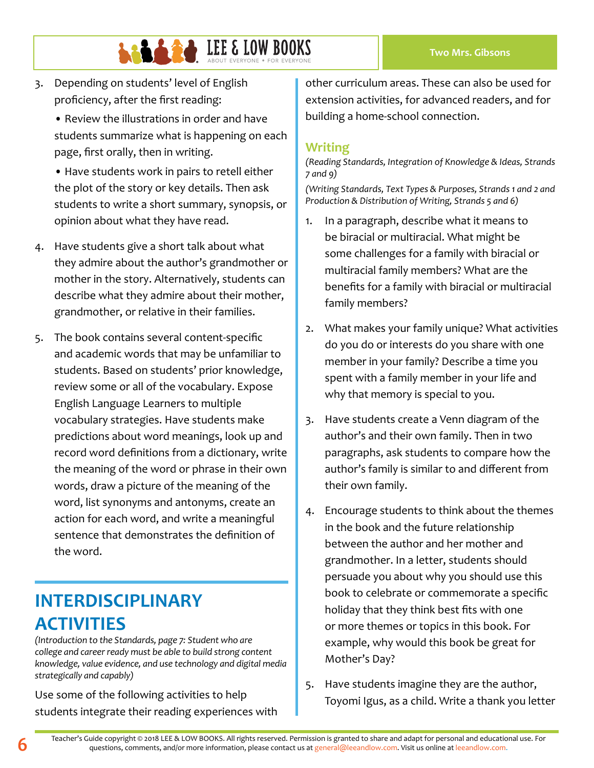3. Depending on students' level of English proficiency, after the first reading:

• Review the illustrations in order and have students summarize what is happening on each page, first orally, then in writing.

• Have students work in pairs to retell either the plot of the story or key details. Then ask students to write a short summary, synopsis, or opinion about what they have read.

- 4. Have students give a short talk about what they admire about the author's grandmother or mother in the story. Alternatively, students can describe what they admire about their mother, grandmother, or relative in their families.
- 5. The book contains several content-specific and academic words that may be unfamiliar to students. Based on students' prior knowledge, review some or all of the vocabulary. Expose English Language Learners to multiple vocabulary strategies. Have students make predictions about word meanings, look up and record word definitions from a dictionary, write the meaning of the word or phrase in their own words, draw a picture of the meaning of the word, list synonyms and antonyms, create an action for each word, and write a meaningful sentence that demonstrates the definition of the word.

## **INTERDISCIPLINARY ACTIVITIES**

*(Introduction to the Standards, page 7: Student who are college and career ready must be able to build strong content knowledge, value evidence, and use technology and digital media strategically and capably)*

Use some of the following activities to help students integrate their reading experiences with

other curriculum areas. These can also be used for extension activities, for advanced readers, and for building a home-school connection.

#### **Writing**

*(Reading Standards, Integration of Knowledge & Ideas, Strands 7 and 9)*

*(Writing Standards, Text Types & Purposes, Strands 1 and 2 and Production & Distribution of Writing, Strands 5 and 6)*

- 1. In a paragraph, describe what it means to be biracial or multiracial. What might be some challenges for a family with biracial or multiracial family members? What are the benefits for a family with biracial or multiracial family members?
- 2. What makes your family unique? What activities do you do or interests do you share with one member in your family? Describe a time you spent with a family member in your life and why that memory is special to you.
- 3. Have students create a Venn diagram of the author's and their own family. Then in two paragraphs, ask students to compare how the author's family is similar to and different from their own family.
- 4. Encourage students to think about the themes in the book and the future relationship between the author and her mother and grandmother. In a letter, students should persuade you about why you should use this book to celebrate or commemorate a specific holiday that they think best fits with one or more themes or topics in this book. For example, why would this book be great for Mother's Day?
- 5. Have students imagine they are the author, Toyomi Igus, as a child. Write a thank you letter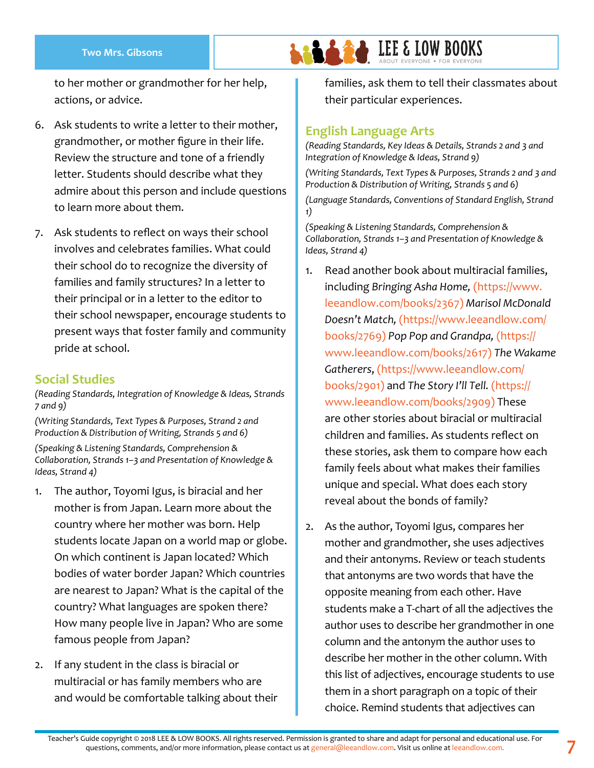#### **Two Mrs. Gibsons**

**ARA ALEE & LOW BOOKS** 

to her mother or grandmother for her help, actions, or advice.

- 6. Ask students to write a letter to their mother, grandmother, or mother figure in their life. Review the structure and tone of a friendly letter. Students should describe what they admire about this person and include questions to learn more about them.
- 7. Ask students to reflect on ways their school involves and celebrates families. What could their school do to recognize the diversity of families and family structures? In a letter to their principal or in a letter to the editor to their school newspaper, encourage students to present ways that foster family and community pride at school.

#### **Social Studies**

*(Reading Standards, Integration of Knowledge & Ideas, Strands 7 and 9)*

*(Writing Standards, Text Types & Purposes, Strand 2 and Production & Distribution of Writing, Strands 5 and 6)*

*(Speaking & Listening Standards, Comprehension & Collaboration, Strands 1–3 and Presentation of Knowledge & Ideas, Strand 4)*

- 1. The author, Toyomi Igus, is biracial and her mother is from Japan. Learn more about the country where her mother was born. Help students locate Japan on a world map or globe. On which continent is Japan located? Which bodies of water border Japan? Which countries are nearest to Japan? What is the capital of the country? What languages are spoken there? How many people live in Japan? Who are some famous people from Japan?
- 2. If any student in the class is biracial or multiracial or has family members who are and would be comfortable talking about their

families, ask them to tell their classmates about their particular experiences.

#### **English Language Arts**

*(Reading Standards, Key Ideas & Details, Strands 2 and 3 and Integration of Knowledge & Ideas, Strand 9)*

*(Writing Standards, Text Types & Purposes, Strands 2 and 3 and Production & Distribution of Writing, Strands 5 and 6)*

*(Language Standards, Conventions of Standard English, Strand 1)*

*(Speaking & Listening Standards, Comprehension & Collaboration, Strands 1–3 and Presentation of Knowledge & Ideas, Strand 4)*

- 1. Read another book about multiracial families, including *Bringing Asha Home,* [\(https://www.](https://www.leeandlow.com/books/2367) [leeandlow.com/books/2367\)](https://www.leeandlow.com/books/2367) *Marisol McDonald Doesn't Match,* ([https://www.leeandlow.com/](https://www.leeandlow.com/books/2769) [books/2769\)](https://www.leeandlow.com/books/2769) *Pop Pop and Grandpa,* [\(https://](https://www.leeandlow.com/books/2617) [www.leeandlow.com/books/2617\)](https://www.leeandlow.com/books/2617) *The Wakame Gatherers*, [\(https://www.leeandlow.com/](https://www.leeandlow.com/books/2901) [books/2901](https://www.leeandlow.com/books/2901)) and *The Story I'll Tell.* ([https://](https://www.leeandlow.com/books/2909) [www.leeandlow.com/books/2909\)](https://www.leeandlow.com/books/2909) These are other stories about biracial or multiracial children and families. As students reflect on these stories, ask them to compare how each family feels about what makes their families unique and special. What does each story reveal about the bonds of family?
- 2. As the author, Toyomi Igus, compares her mother and grandmother, she uses adjectives and their antonyms. Review or teach students that antonyms are two words that have the opposite meaning from each other. Have students make a T-chart of all the adjectives the author uses to describe her grandmother in one column and the antonym the author uses to describe her mother in the other column. With this list of adjectives, encourage students to use them in a short paragraph on a topic of their choice. Remind students that adjectives can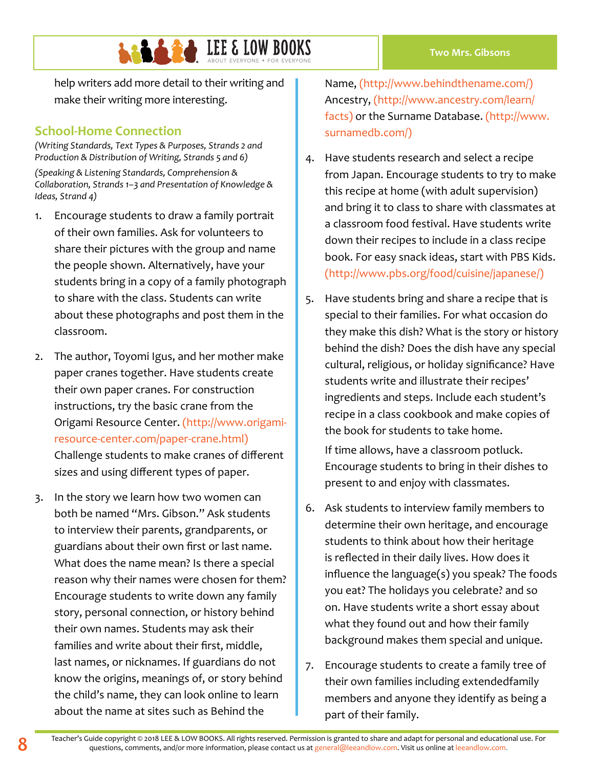**SALE & LOW BOOKS** 

help writers add more detail to their writing and make their writing more interesting.

#### **School-Home Connection**

*(Writing Standards, Text Types & Purposes, Strands 2 and Production & Distribution of Writing, Strands 5 and 6)*

*(Speaking & Listening Standards, Comprehension & Collaboration, Strands 1–3 and Presentation of Knowledge & Ideas, Strand 4)*

- 1. Encourage students to draw a family portrait of their own families. Ask for volunteers to share their pictures with the group and name the people shown. Alternatively, have your students bring in a copy of a family photograph to share with the class. Students can write about these photographs and post them in the classroom.
- 2. The author, Toyomi Igus, and her mother make paper cranes together. Have students create their own paper cranes. For construction instructions, try the basic crane from the Origami Resource Center. [\(http://www.origami](http://www.origami-resource-center.com/paper-crane.html)[resource-center.com/paper-crane.html\)](http://www.origami-resource-center.com/paper-crane.html) Challenge students to make cranes of different sizes and using different types of paper.
- 3. In the story we learn how two women can both be named "Mrs. Gibson." Ask students to interview their parents, grandparents, or guardians about their own first or last name. What does the name mean? Is there a special reason why their names were chosen for them? Encourage students to write down any family story, personal connection, or history behind their own names. Students may ask their families and write about their first, middle, last names, or nicknames. If guardians do not know the origins, meanings of, or story behind the child's name, they can look online to learn about the name at sites such as Behind the

Name, (<http://www.behindthename.com/>) Ancestry, [\(http://www.ancestry.com/learn/](http://www.ancestry.com/learn/facts) [facts\)](http://www.ancestry.com/learn/facts) or the Surname Database. ([http://www.](http://www.surnamedb.com/) [surnamedb.com/\)](http://www.surnamedb.com/)

- 4. Have students research and select a recipe from Japan. Encourage students to try to make this recipe at home (with adult supervision) and bring it to class to share with classmates at a classroom food festival. Have students write down their recipes to include in a class recipe book. For easy snack ideas, start with PBS Kids. [\(http://www.pbs.org/food/cuisine/japanese/\)](http://www.pbs.org/food/cuisine/japanese/)
- 5. Have students bring and share a recipe that is special to their families. For what occasion do they make this dish? What is the story or history behind the dish? Does the dish have any special cultural, religious, or holiday significance? Have students write and illustrate their recipes' ingredients and steps. Include each student's recipe in a class cookbook and make copies of the book for students to take home.

If time allows, have a classroom potluck. Encourage students to bring in their dishes to present to and enjoy with classmates.

- 6. Ask students to interview family members to determine their own heritage, and encourage students to think about how their heritage is reflected in their daily lives. How does it influence the language(s) you speak? The foods you eat? The holidays you celebrate? and so on. Have students write a short essay about what they found out and how their family background makes them special and unique.
- 7. Encourage students to create a family tree of their own families including extendedfamily members and anyone they identify as being a part of their family.